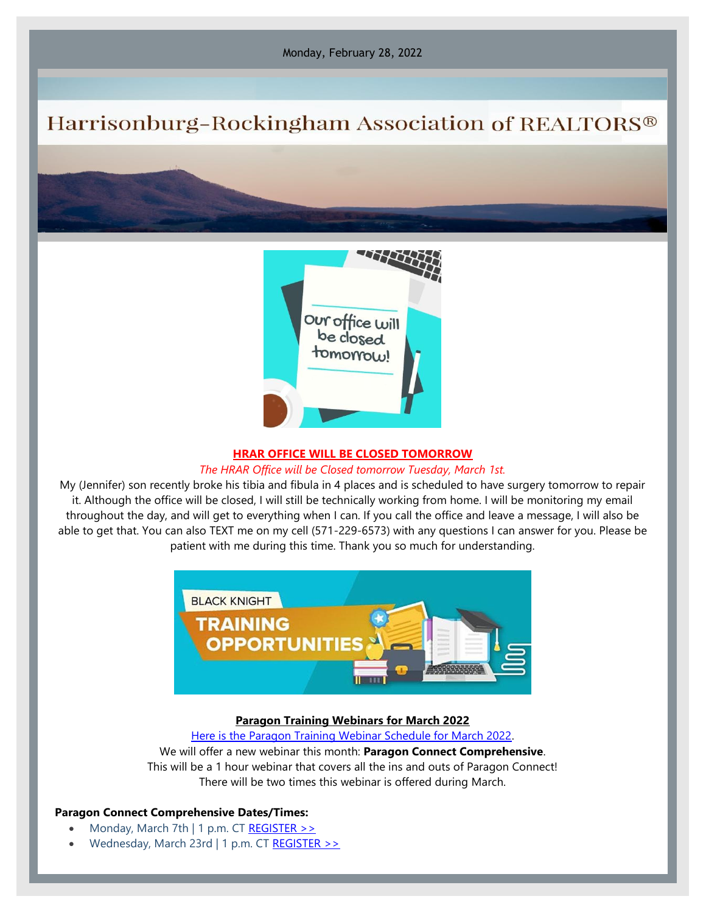Monday, February 28, 2022

# Harrisonburg-Rockingham Association of REALTORS®



#### **HRAR OFFICE WILL BE CLOSED TOMORROW**

## *The HRAR Office will be Closed tomorrow Tuesday, March 1st.*

My (Jennifer) son recently broke his tibia and fibula in 4 places and is scheduled to have surgery tomorrow to repair it. Although the office will be closed, I will still be technically working from home. I will be monitoring my email throughout the day, and will get to everything when I can. If you call the office and leave a message, I will also be able to get that. You can also TEXT me on my cell (571-229-6573) with any questions I can answer for you. Please be patient with me during this time. Thank you so much for understanding.



### **Paragon Training Webinars for March 2022**

[Here is the Paragon Training Webinar Schedule for March 2022.](https://engage.blackknightinc.com/march-2022-webinars)

# We will offer a new webinar this month: **Paragon Connect Comprehensive**. This will be a 1 hour webinar that covers all the ins and outs of Paragon Connect! There will be two times this webinar is offered during March.

#### **Paragon Connect Comprehensive Dates/Times:**

- Monday, March 7th | 1 p.m. CT REGISTER  $\gg$
- Wednesday, March 23rd | 1 p.m. CT [REGISTER >>](https://engage.blackknightinc.com/e3t/Btc/I6+113/cW3RL04/VWWhFj14s6P_W3KB7B58Wwy9kW8tMMP_4FY5csN4jRWcc3lLBmV1-WJV7CgFcyW4r3G7n40ZT6vW8PMQXn8sKByvW8_0XkF2dQ3wxW4P3FXs5fZ1hCW3fwFnN8tBZYGW3J_H4W1yglgjW1p--_j7H95m4W3gNYzM74Js8JW85f8Lx4b6jK0W4xc_Jc1mMd9gW74-WK71SK-TNN43XR5CSHhL_W1-HdH05gchH0VwglCR30CDXtW8DSTG895SmHzW5vNwdv6k8JnBW7pk5_f5Vp66GW9gz_fz4Br52ZN4hlcBsYZxVvW55FKMb7CLDnKN6j0KPqkt53qVbvPbp6-8-xf3gdn1)